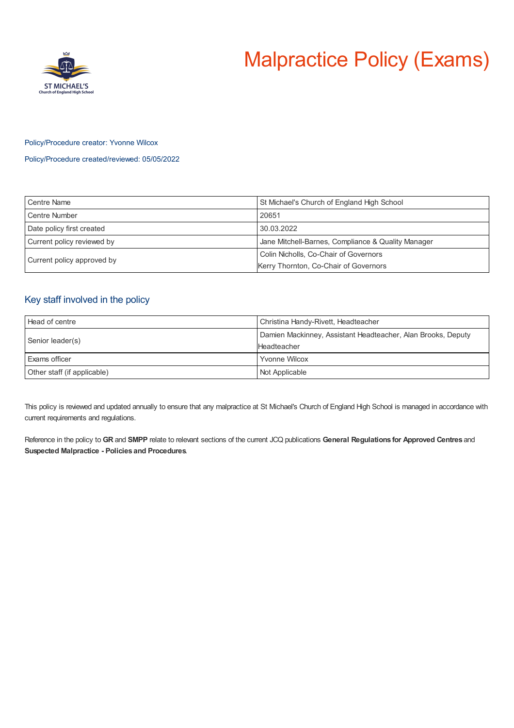# Malpractice Policy (Exams)



#### Policy/Procedure creator: Yvonne Wilcox

Policy/Procedure created/reviewed: 05/05/2022

| <b>Centre Name</b>         | St Michael's Church of England High School         |
|----------------------------|----------------------------------------------------|
| <b>Centre Number</b>       | 20651                                              |
| Date policy first created  | 30.03.2022                                         |
| Current policy reviewed by | Jane Mitchell-Barnes, Compliance & Quality Manager |
| Current policy approved by | Colin Nicholls, Co-Chair of Governors              |
|                            | Kerry Thornton, Co-Chair of Governors              |

## Key staff involved in the policy

| Head of centre              | Christina Handy-Rivett, Headteacher                                         |
|-----------------------------|-----------------------------------------------------------------------------|
| Senior leader(s)            | Damien Mackinney, Assistant Headteacher, Alan Brooks, Deputy<br>Headteacher |
| Exams officer               | <b>Yvonne Wilcox</b>                                                        |
| Other staff (if applicable) | Not Applicable                                                              |

This policy is reviewed and updated annually to ensure that any malpractice at St Michael's Church of England High School is managed in accordance with current requirements and regulations.

Reference in the policy to **GR** and **SMPP** relate to relevant sections of the current JCQ publications **General Regulations for Approved Centres** and **Suspected Malpractice - Policies and Procedures**.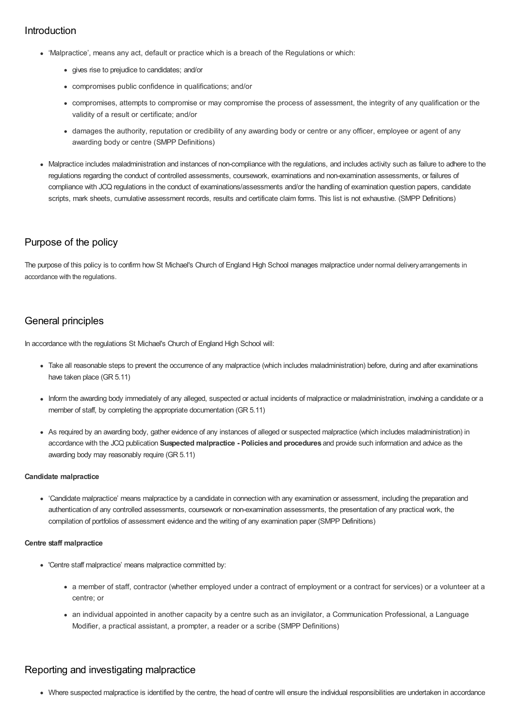## Introduction

- 'Malpractice', means any act, default or practice which is a breach of the Regulations or which:
	- gives rise to prejudice to candidates; and/or
	- compromises public confidence in qualifications; and/or
	- compromises, attempts to compromise or may compromise the process of assessment, the integrity of any qualification or the validity of a result or certificate; and/or
	- damages the authority, reputation or credibility of any awarding body or centre or any officer, employee or agent of any awarding body or centre (SMPP Definitions)
- Malpractice includes maladministration and instances of non-compliance with the regulations, and includes activity such as failure to adhere to the regulations regarding the conduct of controlled assessments, coursework, examinations and non-examination assessments, or failures of compliance with JCQ regulations in the conduct of examinations/assessments and/or the handling of examination question papers, candidate scripts, mark sheets, cumulative assessment records, results and certificate claim forms. This list is not exhaustive. (SMPP Definitions)

## Purpose of the policy

The purpose of this policy is to confirm how St Michael's Church of England High School manages malpractice under normal deliveryarrangements in accordance with the regulations.

# General principles

In accordance with the regulations St Michael's Church of England High School will:

- Take all reasonable steps to prevent the occurrence of any malpractice (which includes maladministration) before, during and after examinations have taken place (GR 5.11)
- Inform the awarding body immediately of any alleged, suspected or actual incidents of malpractice or maladministration, involving a candidate or a member of staff, by completing the appropriate documentation (GR 5.11)
- As required by an awarding body, gather evidence of any instances of alleged or suspected malpractice (which includes maladministration) in accordance with the JCQ publication **Suspected malpractice - Policies and procedures** and provide such information and advice as the awarding body may reasonably require (GR 5.11)

#### **Candidate malpractice**

'Candidate malpractice' means malpractice by a candidate in connection with any examination or assessment, including the preparation and authentication of any controlled assessments, coursework or non-examination assessments, the presentation of any practical work, the compilation of portfolios of assessment evidence and the writing of any examination paper (SMPP Definitions)

#### **Centre staff malpractice**

- 'Centre staff malpractice' means malpractice committed by:
	- a member of staff, contractor (whether employed under a contract of employment or a contract for services) or a volunteer at a centre; or
	- an individual appointed in another capacity by a centre such as an invigilator, a Communication Professional, a Language Modifier, a practical assistant, a prompter, a reader or a scribe (SMPP Definitions)

## Reporting and investigating malpractice

Where suspected malpractice is identified by the centre, the head of centre will ensure the individual responsibilities are undertaken in accordance